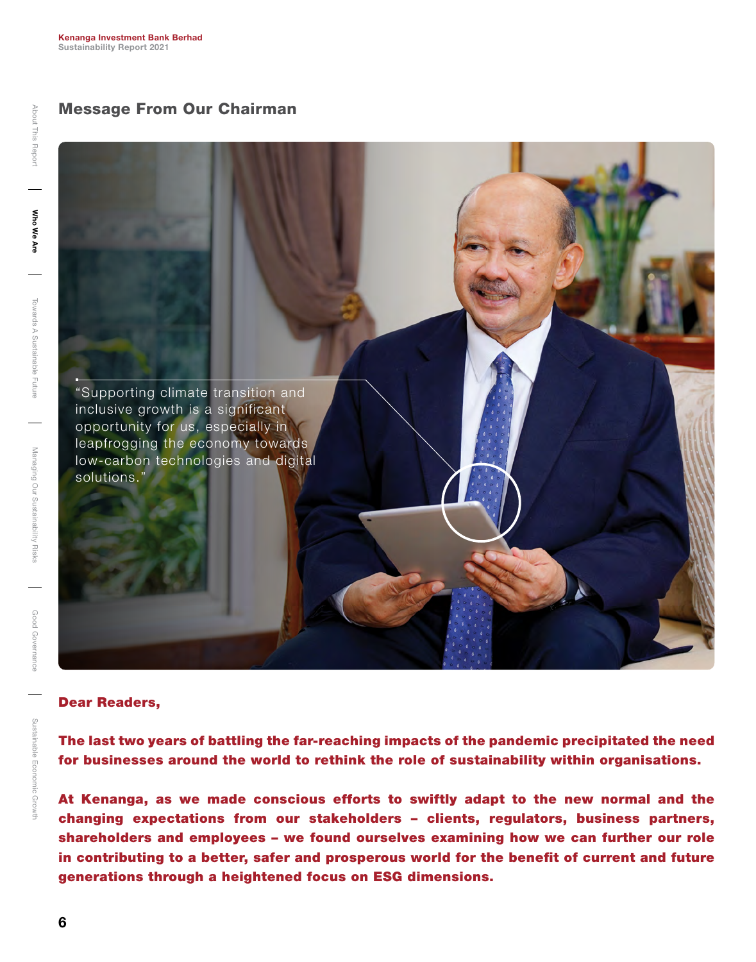## Message From Our Chairman



## Dear Readers,

The last two years of battling the far-reaching impacts of the pandemic precipitated the need for businesses around the world to rethink the role of sustainability within organisations.

At Kenanga, as we made conscious efforts to swiftly adapt to the new normal and the changing expectations from our stakeholders – clients, regulators, business partners, shareholders and employees – we found ourselves examining how we can further our role in contributing to a better, safer and prosperous world for the benefit of current and future generations through a heightened focus on ESG dimensions.